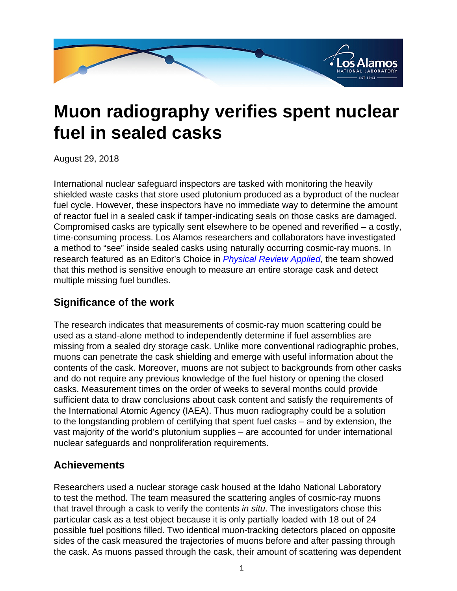

## **Muon radiography verifies spent nuclear fuel in sealed casks**

August 29, 2018

International nuclear safeguard inspectors are tasked with monitoring the heavily shielded waste casks that store used plutonium produced as a byproduct of the nuclear fuel cycle. However, these inspectors have no immediate way to determine the amount of reactor fuel in a sealed cask if tamper-indicating seals on those casks are damaged. Compromised casks are typically sent elsewhere to be opened and reverified – a costly, time-consuming process. Los Alamos researchers and collaborators have investigated a method to "see" inside sealed casks using naturally occurring cosmic-ray muons. In research featured as an Editor's Choice in *[Physical Review Applied](
					https://journals.aps.org/prapplied/pdf/10.1103/PhysRevApplied.9.044013)*, the team showed that this method is sensitive enough to measure an entire storage cask and detect multiple missing fuel bundles.

## **Significance of the work**

The research indicates that measurements of cosmic-ray muon scattering could be used as a stand-alone method to independently determine if fuel assemblies are missing from a sealed dry storage cask. Unlike more conventional radiographic probes, muons can penetrate the cask shielding and emerge with useful information about the contents of the cask. Moreover, muons are not subject to backgrounds from other casks and do not require any previous knowledge of the fuel history or opening the closed casks. Measurement times on the order of weeks to several months could provide sufficient data to draw conclusions about cask content and satisfy the requirements of the International Atomic Agency (IAEA). Thus muon radiography could be a solution to the longstanding problem of certifying that spent fuel casks – and by extension, the vast majority of the world's plutonium supplies – are accounted for under international nuclear safeguards and nonproliferation requirements.

## **Achievements**

Researchers used a nuclear storage cask housed at the Idaho National Laboratory to test the method. The team measured the scattering angles of cosmic-ray muons that travel through a cask to verify the contents in situ. The investigators chose this particular cask as a test object because it is only partially loaded with 18 out of 24 possible fuel positions filled. Two identical muon-tracking detectors placed on opposite sides of the cask measured the trajectories of muons before and after passing through the cask. As muons passed through the cask, their amount of scattering was dependent